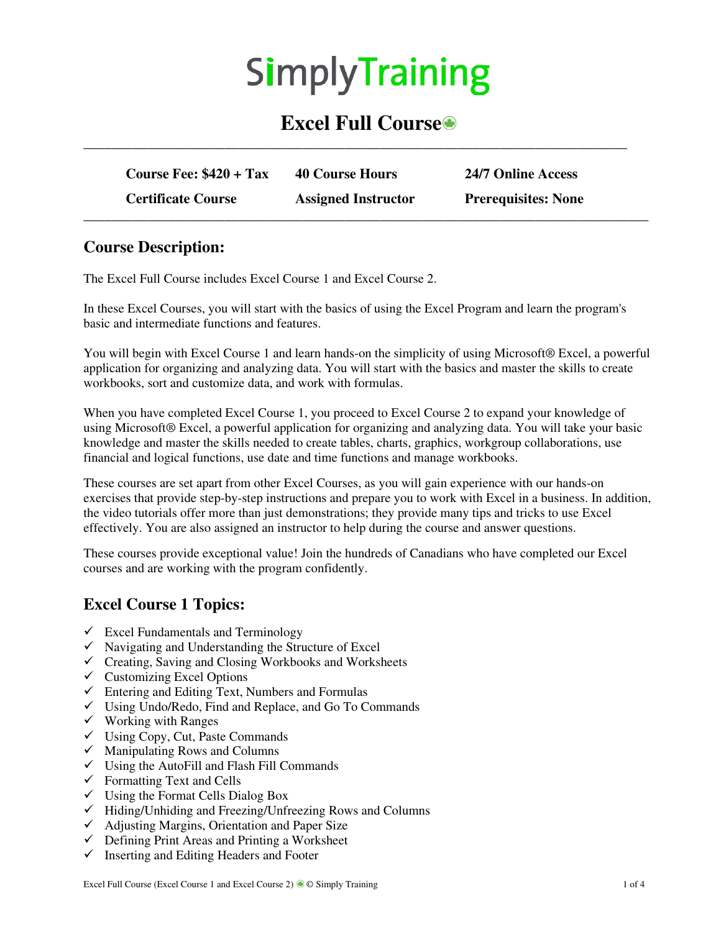# **SimplyTraining**

# **Excel Full Course**

**\_\_\_\_\_\_\_\_\_\_\_\_\_\_\_\_\_\_\_\_\_\_\_\_\_\_\_\_\_\_\_\_\_\_\_\_\_\_\_\_\_\_\_\_\_\_\_\_\_\_\_\_\_\_\_\_\_\_\_\_\_\_\_\_\_\_\_\_\_\_\_\_\_\_\_\_\_** 

| Course Fee: $$420 + Tax$  | <b>40 Course Hours</b>     | 24/7 Online Access         |
|---------------------------|----------------------------|----------------------------|
| <b>Certificate Course</b> | <b>Assigned Instructor</b> | <b>Prerequisites: None</b> |

#### **Course Description:**

The Excel Full Course includes Excel Course 1 and Excel Course 2.

In these Excel Courses, you will start with the basics of using the Excel Program and learn the program's basic and intermediate functions and features.

You will begin with Excel Course 1 and learn hands-on the simplicity of using Microsoft® Excel, a powerful application for organizing and analyzing data. You will start with the basics and master the skills to create workbooks, sort and customize data, and work with formulas.

When you have completed Excel Course 1, you proceed to Excel Course 2 to expand your knowledge of using Microsoft® Excel, a powerful application for organizing and analyzing data. You will take your basic knowledge and master the skills needed to create tables, charts, graphics, workgroup collaborations, use financial and logical functions, use date and time functions and manage workbooks.

These courses are set apart from other Excel Courses, as you will gain experience with our hands-on exercises that provide step-by-step instructions and prepare you to work with Excel in a business. In addition, the video tutorials offer more than just demonstrations; they provide many tips and tricks to use Excel effectively. You are also assigned an instructor to help during the course and answer questions.

These courses provide exceptional value! Join the hundreds of Canadians who have completed our Excel courses and are working with the program confidently.

## **Excel Course 1 Topics:**

- $\checkmark$  Excel Fundamentals and Terminology
- $\checkmark$  Navigating and Understanding the Structure of Excel
- $\checkmark$  Creating, Saving and Closing Workbooks and Worksheets
- $\checkmark$  Customizing Excel Options
- $\checkmark$  Entering and Editing Text, Numbers and Formulas
- $\checkmark$  Using Undo/Redo, Find and Replace, and Go To Commands
- $\checkmark$  Working with Ranges
- $\checkmark$  Using Copy, Cut, Paste Commands
- $\checkmark$  Manipulating Rows and Columns
- $\checkmark$  Using the AutoFill and Flash Fill Commands
- $\checkmark$  Formatting Text and Cells
- $\checkmark$  Using the Format Cells Dialog Box
- $\checkmark$  Hiding/Unhiding and Freezing/Unfreezing Rows and Columns
- $\checkmark$  Adjusting Margins, Orientation and Paper Size
- $\checkmark$  Defining Print Areas and Printing a Worksheet
- $\checkmark$  Inserting and Editing Headers and Footer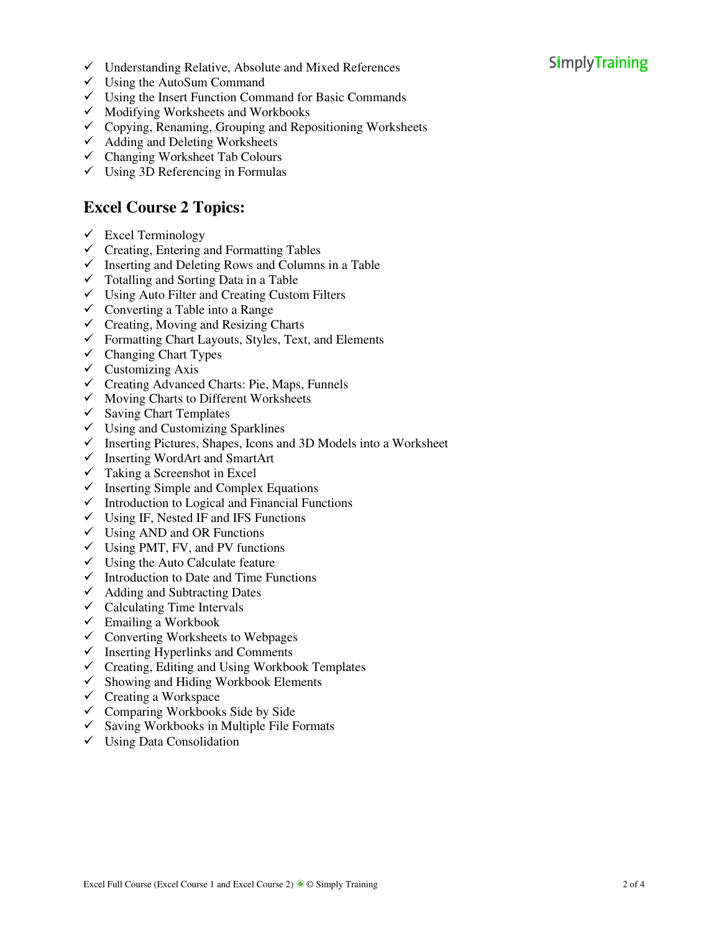# **SimplyTraining**

- $\checkmark$  Understanding Relative, Absolute and Mixed References
- $\checkmark$  Using the AutoSum Command
- $\checkmark$  Using the Insert Function Command for Basic Commands
- $\checkmark$  Modifying Worksheets and Workbooks
- $\checkmark$  Copying, Renaming, Grouping and Repositioning Worksheets
- $\checkmark$  Adding and Deleting Worksheets
- $\checkmark$  Changing Worksheet Tab Colours
- Using 3D Referencing in Formulas

### **Excel Course 2 Topics:**

- $\checkmark$  Excel Terminology
- $\checkmark$  Creating, Entering and Formatting Tables
- $\checkmark$  Inserting and Deleting Rows and Columns in a Table
- $\checkmark$  Totalling and Sorting Data in a Table
- $\checkmark$  Using Auto Filter and Creating Custom Filters
- $\checkmark$  Converting a Table into a Range
- $\checkmark$  Creating, Moving and Resizing Charts
- $\checkmark$  Formatting Chart Layouts, Styles, Text, and Elements
- $\checkmark$  Changing Chart Types
- $\checkmark$  Customizing Axis
- $\checkmark$  Creating Advanced Charts: Pie, Maps, Funnels
- $\checkmark$  Moving Charts to Different Worksheets
- $\checkmark$  Saving Chart Templates
- $\checkmark$  Using and Customizing Sparklines
- $\checkmark$  Inserting Pictures, Shapes, Icons and 3D Models into a Worksheet
- $\checkmark$  Inserting WordArt and SmartArt
- $\checkmark$  Taking a Screenshot in Excel
- $\checkmark$  Inserting Simple and Complex Equations
- $\checkmark$  Introduction to Logical and Financial Functions
- $\checkmark$  Using IF, Nested IF and IFS Functions
- $\checkmark$  Using AND and OR Functions
- $\checkmark$  Using PMT, FV, and PV functions
- $\checkmark$  Using the Auto Calculate feature
- $\checkmark$  Introduction to Date and Time Functions
- Adding and Subtracting Dates
- $\checkmark$  Calculating Time Intervals
- $\checkmark$  Emailing a Workbook
- $\checkmark$  Converting Worksheets to Webpages
- $\checkmark$  Inserting Hyperlinks and Comments
- $\checkmark$  Creating, Editing and Using Workbook Templates
- $\checkmark$  Showing and Hiding Workbook Elements
- $\checkmark$  Creating a Workspace
- $\checkmark$  Comparing Workbooks Side by Side
- $\checkmark$  Saving Workbooks in Multiple File Formats
- $\checkmark$  Using Data Consolidation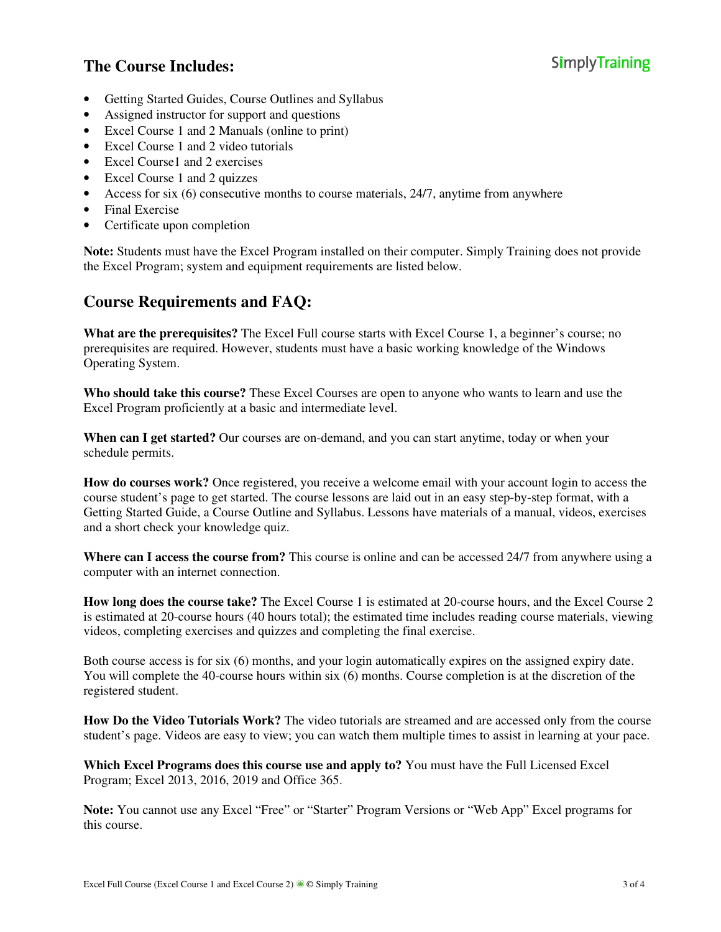# **The Course Includes:**

- Getting Started Guides, Course Outlines and Syllabus
- Assigned instructor for support and questions
- Excel Course 1 and 2 Manuals (online to print)
- Excel Course 1 and 2 video tutorials
- Excel Course1 and 2 exercises
- Excel Course 1 and 2 quizzes
- Access for six (6) consecutive months to course materials, 24/7, anytime from anywhere
- Final Exercise
- Certificate upon completion

**Note:** Students must have the Excel Program installed on their computer. Simply Training does not provide the Excel Program; system and equipment requirements are listed below.

#### **Course Requirements and FAQ:**

**What are the prerequisites?** The Excel Full course starts with Excel Course 1, a beginner's course; no prerequisites are required. However, students must have a basic working knowledge of the Windows Operating System.

**Who should take this course?** These Excel Courses are open to anyone who wants to learn and use the Excel Program proficiently at a basic and intermediate level.

**When can I get started?** Our courses are on-demand, and you can start anytime, today or when your schedule permits.

**How do courses work?** Once registered, you receive a welcome email with your account login to access the course student's page to get started. The course lessons are laid out in an easy step-by-step format, with a Getting Started Guide, a Course Outline and Syllabus. Lessons have materials of a manual, videos, exercises and a short check your knowledge quiz.

**Where can I access the course from?** This course is online and can be accessed 24/7 from anywhere using a computer with an internet connection.

**How long does the course take?** The Excel Course 1 is estimated at 20-course hours, and the Excel Course 2 is estimated at 20-course hours (40 hours total); the estimated time includes reading course materials, viewing videos, completing exercises and quizzes and completing the final exercise.

Both course access is for six (6) months, and your login automatically expires on the assigned expiry date. You will complete the 40-course hours within six (6) months. Course completion is at the discretion of the registered student.

**How Do the Video Tutorials Work?** The video tutorials are streamed and are accessed only from the course student's page. Videos are easy to view; you can watch them multiple times to assist in learning at your pace.

**Which Excel Programs does this course use and apply to?** You must have the Full Licensed Excel Program; Excel 2013, 2016, 2019 and Office 365.

**Note:** You cannot use any Excel "Free" or "Starter" Program Versions or "Web App" Excel programs for this course.